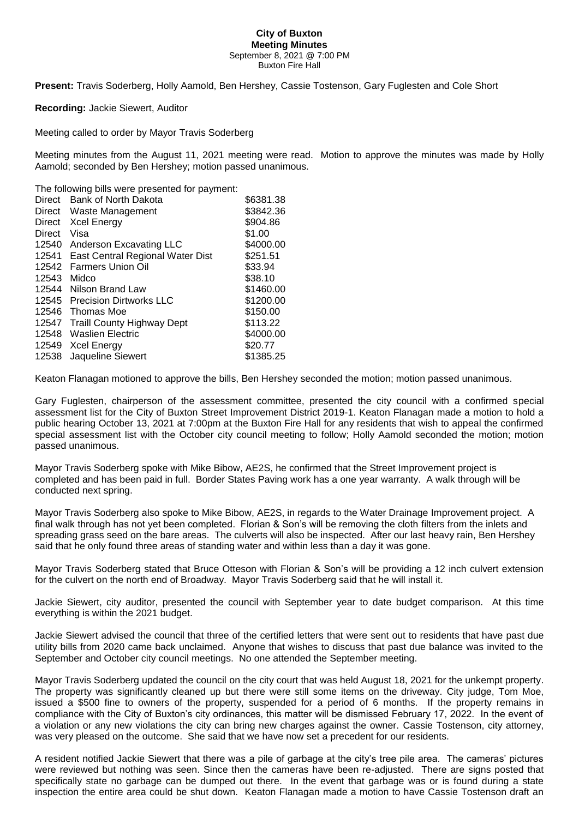## **City of Buxton Meeting Minutes** September 8, 2021 @ 7:00 PM Buxton Fire Hall

**Present:** Travis Soderberg, Holly Aamold, Ben Hershey, Cassie Tostenson, Gary Fuglesten and Cole Short

**Recording:** Jackie Siewert, Auditor

Meeting called to order by Mayor Travis Soderberg

Meeting minutes from the August 11, 2021 meeting were read. Motion to approve the minutes was made by Holly Aamold; seconded by Ben Hershey; motion passed unanimous.

The following bills were presented for payment:

| Direct        | Bank of North Dakota              | \$6381.38 |
|---------------|-----------------------------------|-----------|
| Direct        | Waste Management                  | \$3842.36 |
| <b>Direct</b> | <b>Xcel Energy</b>                | \$904.86  |
| Direct        | Visa                              | \$1.00    |
| 12540         | Anderson Excavating LLC           | \$4000.00 |
| 12541         | East Central Regional Water Dist  | \$251.51  |
| 12542         | <b>Farmers Union Oil</b>          | \$33.94   |
| 12543         | Midco                             | \$38.10   |
| 12544         | Nilson Brand Law                  | \$1460.00 |
| 12545         | <b>Precision Dirtworks LLC</b>    | \$1200.00 |
| 12546         | Thomas Moe                        | \$150.00  |
| 12547         | <b>Traill County Highway Dept</b> | \$113.22  |
| 12548         | <b>Waslien Electric</b>           | \$4000.00 |
| 12549         | Xcel Energy                       | \$20.77   |
| 12538         | Jaqueline Siewert                 | \$1385.25 |

Keaton Flanagan motioned to approve the bills, Ben Hershey seconded the motion; motion passed unanimous.

Gary Fuglesten, chairperson of the assessment committee, presented the city council with a confirmed special assessment list for the City of Buxton Street Improvement District 2019-1. Keaton Flanagan made a motion to hold a public hearing October 13, 2021 at 7:00pm at the Buxton Fire Hall for any residents that wish to appeal the confirmed special assessment list with the October city council meeting to follow; Holly Aamold seconded the motion; motion passed unanimous.

Mayor Travis Soderberg spoke with Mike Bibow, AE2S, he confirmed that the Street Improvement project is completed and has been paid in full. Border States Paving work has a one year warranty. A walk through will be conducted next spring.

Mayor Travis Soderberg also spoke to Mike Bibow, AE2S, in regards to the Water Drainage Improvement project. A final walk through has not yet been completed. Florian & Son's will be removing the cloth filters from the inlets and spreading grass seed on the bare areas. The culverts will also be inspected. After our last heavy rain, Ben Hershey said that he only found three areas of standing water and within less than a day it was gone.

Mayor Travis Soderberg stated that Bruce Otteson with Florian & Son's will be providing a 12 inch culvert extension for the culvert on the north end of Broadway. Mayor Travis Soderberg said that he will install it.

Jackie Siewert, city auditor, presented the council with September year to date budget comparison. At this time everything is within the 2021 budget.

Jackie Siewert advised the council that three of the certified letters that were sent out to residents that have past due utility bills from 2020 came back unclaimed. Anyone that wishes to discuss that past due balance was invited to the September and October city council meetings. No one attended the September meeting.

Mayor Travis Soderberg updated the council on the city court that was held August 18, 2021 for the unkempt property. The property was significantly cleaned up but there were still some items on the driveway. City judge, Tom Moe, issued a \$500 fine to owners of the property, suspended for a period of 6 months. If the property remains in compliance with the City of Buxton's city ordinances, this matter will be dismissed February 17, 2022. In the event of a violation or any new violations the city can bring new charges against the owner. Cassie Tostenson, city attorney, was very pleased on the outcome. She said that we have now set a precedent for our residents.

A resident notified Jackie Siewert that there was a pile of garbage at the city's tree pile area. The cameras' pictures were reviewed but nothing was seen. Since then the cameras have been re-adjusted. There are signs posted that specifically state no garbage can be dumped out there. In the event that garbage was or is found during a state inspection the entire area could be shut down. Keaton Flanagan made a motion to have Cassie Tostenson draft an